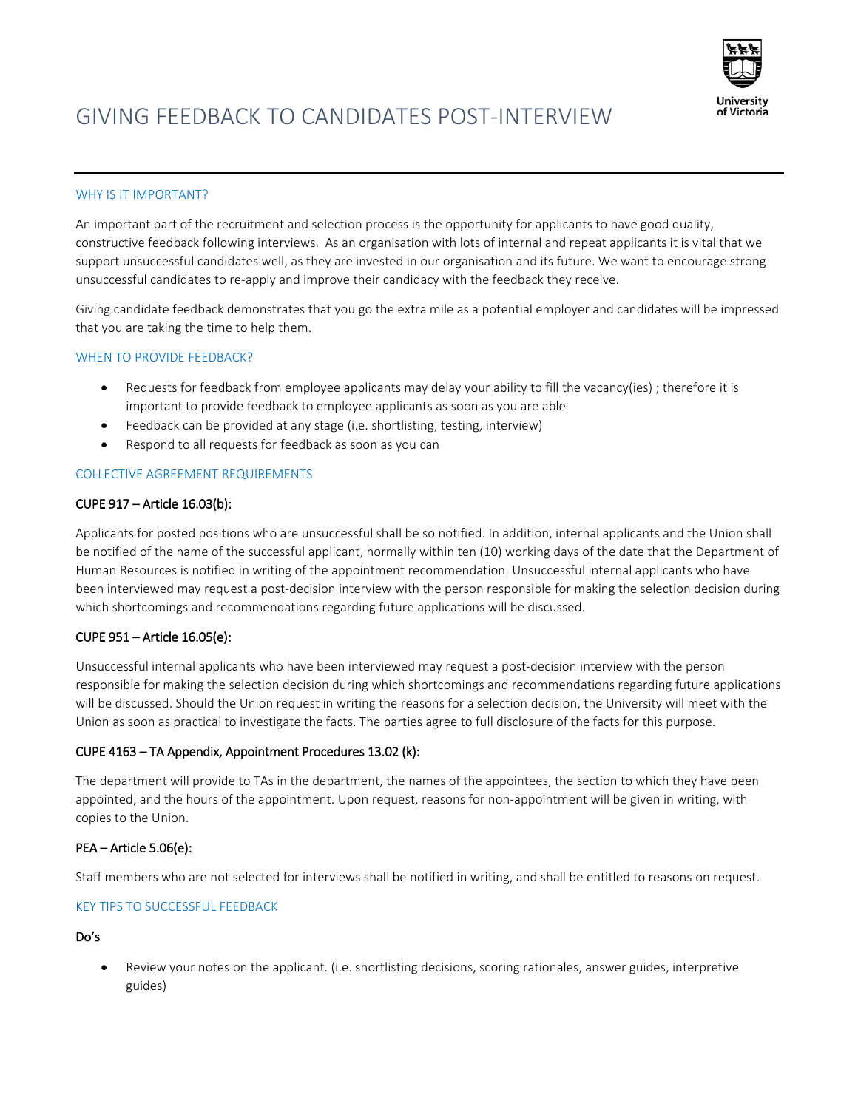

# GIVING FEEDBACK TO CANDIDATES POST-INTERVIEW

## WHY IS IT IMPORTANT?

An important part of the recruitment and selection process is the opportunity for applicants to have good quality, constructive feedback following interviews. As an organisation with lots of internal and repeat applicants it is vital that we support unsuccessful candidates well, as they are invested in our organisation and its future. We want to encourage strong unsuccessful candidates to re-apply and improve their candidacy with the feedback they receive.

Giving candidate feedback demonstrates that you go the extra mile as a potential employer and candidates will be impressed that you are taking the time to help them.

## WHEN TO PROVIDE FEEDBACK?

- Requests for feedback from employee applicants may delay your ability to fill the vacancy(ies) ; therefore it is important to provide feedback to employee applicants as soon as you are able
- Feedback can be provided at any stage (i.e. shortlisting, testing, interview)
- Respond to all requests for feedback as soon as you can

# COLLECTIVE AGREEMENT REQUIREMENTS

## CUPE 917 – Article 16.03(b):

Applicants for posted positions who are unsuccessful shall be so notified. In addition, internal applicants and the Union shall be notified of the name of the successful applicant, normally within ten (10) working days of the date that the Department of Human Resources is notified in writing of the appointment recommendation. Unsuccessful internal applicants who have been interviewed may request a post-decision interview with the person responsible for making the selection decision during which shortcomings and recommendations regarding future applications will be discussed.

# CUPE 951 – Article 16.05(e):

Unsuccessful internal applicants who have been interviewed may request a post-decision interview with the person responsible for making the selection decision during which shortcomings and recommendations regarding future applications will be discussed. Should the Union request in writing the reasons for a selection decision, the University will meet with the Union as soon as practical to investigate the facts. The parties agree to full disclosure of the facts for this purpose.

# CUPE 4163 – TA Appendix, Appointment Procedures 13.02 (k):

The department will provide to TAs in the department, the names of the appointees, the section to which they have been appointed, and the hours of the appointment. Upon request, reasons for non-appointment will be given in writing, with copies to the Union.

#### PEA – Article 5.06(e):

Staff members who are not selected for interviews shall be notified in writing, and shall be entitled to reasons on request.

#### KEY TIPS TO SUCCESSFUL FEEDBACK

Do's

• Review your notes on the applicant. (i.e. shortlisting decisions, scoring rationales, answer guides, interpretive guides)